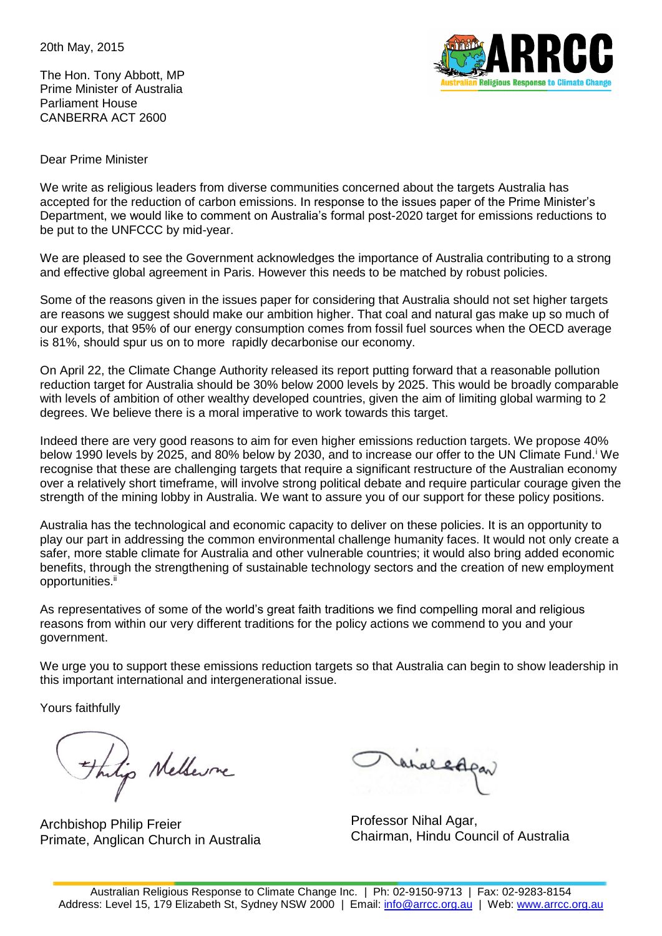20th May, 2015

The Hon. Tony Abbott, MP Prime Minister of Australia Parliament House CANBERRA ACT 2600



Dear Prime Minister

We write as religious leaders from diverse communities concerned about the targets Australia has accepted for the reduction of carbon emissions. In response to the issues paper of the Prime Minister's Department, we would like to comment on Australia's formal post-2020 target for emissions reductions to be put to the UNFCCC by mid-year.

We are pleased to see the Government acknowledges the importance of Australia contributing to a strong and effective global agreement in Paris. However this needs to be matched by robust policies.

Some of the reasons given in the issues paper for considering that Australia should not set higher targets are reasons we suggest should make our ambition higher. That coal and natural gas make up so much of our exports, that 95% of our energy consumption comes from fossil fuel sources when the OECD average is 81%, should spur us on to more rapidly decarbonise our economy.

On April 22, the Climate Change Authority released its report putting forward that a reasonable pollution reduction target for Australia should be 30% below 2000 levels by 2025. This would be broadly comparable with levels of ambition of other wealthy developed countries, given the aim of limiting global warming to 2 degrees. We believe there is a moral imperative to work towards this target.

Indeed there are very good reasons to aim for even higher emissions reduction targets. We propose 40% below 1990 levels by 2025, and 80% below by 2030, and to increase our offer to the UN Climate Fund.<sup>i</sup> We recognise that these are challenging targets that require a significant restructure of the Australian economy over a relatively short timeframe, will involve strong political debate and require particular courage given the strength of the mining lobby in Australia. We want to assure you of our support for these policy positions.

Australia has the technological and economic capacity to deliver on these policies. It is an opportunity to play our part in addressing the common environmental challenge humanity faces. It would not only create a safer, more stable climate for Australia and other vulnerable countries; it would also bring added economic benefits, through the strengthening of sustainable technology sectors and the creation of new employment opportunities.<sup>ii</sup>

As representatives of some of the world's great faith traditions we find compelling moral and religious reasons from within our very different traditions for the policy actions we commend to you and your government.

We urge you to support these emissions reduction targets so that Australia can begin to show leadership in this important international and intergenerational issue.

Yours faithfully

This Nelleure

Archbishop Philip Freier Primate, Anglican Church in Australia

Vanaledo

Professor Nihal Agar, Chairman, Hindu Council of Australia